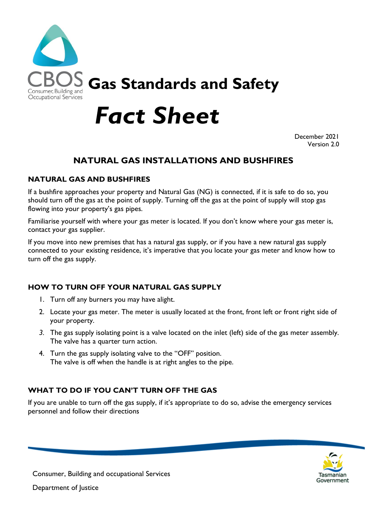

# *Fact Sheet*

December 2021 Version 2.0

## **NATURAL GAS INSTALLATIONS AND BUSHFIRES**

#### **NATURAL GAS AND BUSHFIRES**

If a bushfire approaches your property and Natural Gas (NG) is connected, if it is safe to do so, you should turn off the gas at the point of supply. Turning off the gas at the point of supply will stop gas flowing into your property's gas pipes.

Familiarise yourself with where your gas meter is located. If you don't know where your gas meter is, contact your gas supplier.

If you move into new premises that has a natural gas supply, or if you have a new natural gas supply connected to your existing residence, it's imperative that you locate your gas meter and know how to turn off the gas supply.

## **HOW TO TURN OFF YOUR NATURAL GAS SUPPLY**

- 1. Turn off any burners you may have alight.
- 2. Locate your gas meter. The meter is usually located at the front, front left or front right side of your property.
- *3.* The gas supply isolating point is a valve located on the inlet (left) side of the gas meter assembly. The valve has a quarter turn action.
- 4. Turn the gas supply isolating valve to the "OFF" position. The valve is off when the handle is at right angles to the pipe.

## **WHAT TO DO IF YOU CAN'T TURN OFF THE GAS**

If you are unable to turn off the gas supply, if it's appropriate to do so, advise the emergency services personnel and follow their directions



Consumer, Building and occupational Services

Department of Justice